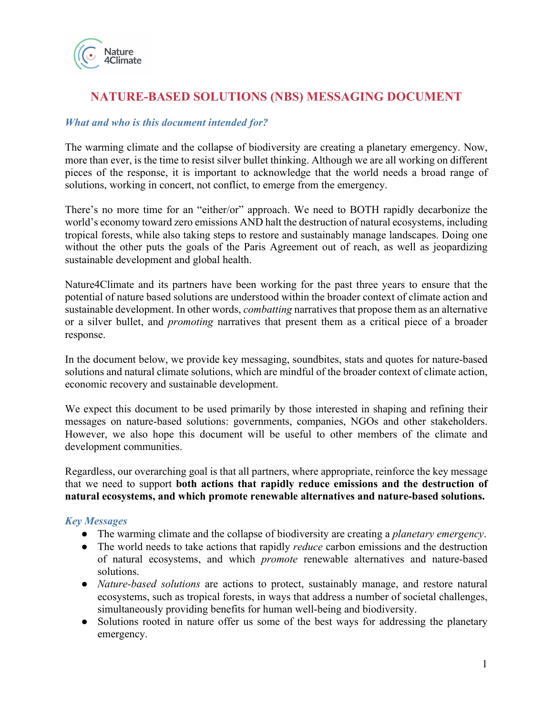

# **NATURE-BASED SOLUTIONS (NBS) MESSAGING DOCUMENT**

# *What and who is this document intended for?*

The warming climate and the collapse of biodiversity are creating a planetary emergency. Now, more than ever, is the time to resist silver bullet thinking. Although we are all working on different pieces of the response, it is important to acknowledge that the world needs a broad range of solutions, working in concert, not conflict, to emerge from the emergency.

There's no more time for an "either/or" approach. We need to BOTH rapidly decarbonize the world's economy toward zero emissions AND halt the destruction of natural ecosystems, including tropical forests, while also taking steps to restore and sustainably manage landscapes. Doing one without the other puts the goals of the Paris Agreement out of reach, as well as jeopardizing sustainable development and global health.

Nature4Climate and its partners have been working for the past three years to ensure that the potential of nature based solutions are understood within the broader context of climate action and sustainable development. In other words, *combatting* narratives that propose them as an alternative or a silver bullet, and *promoting* narratives that present them as a critical piece of a broader response.

In the document below, we provide key messaging, soundbites, stats and quotes for nature-based solutions and natural climate solutions, which are mindful of the broader context of climate action, economic recovery and sustainable development.

We expect this document to be used primarily by those interested in shaping and refining their messages on nature-based solutions: governments, companies, NGOs and other stakeholders. However, we also hope this document will be useful to other members of the climate and development communities.

Regardless, our overarching goal is that all partners, where appropriate, reinforce the key message that we need to support **both actions that rapidly reduce emissions and the destruction of natural ecosystems, and which promote renewable alternatives and nature-based solutions.** 

# *Key Messages*

- The warming climate and the collapse of biodiversity are creating a *planetary emergency*.
- The world needs to take actions that rapidly *reduce* carbon emissions and the destruction of natural ecosystems, and which *promote* renewable alternatives and nature-based solutions.
- *Nature-based solutions* are actions to protect, sustainably manage, and restore natural ecosystems, such as tropical forests, in ways that address a number of societal challenges, simultaneously providing benefits for human well-being and biodiversity.
- Solutions rooted in nature offer us some of the best ways for addressing the planetary emergency.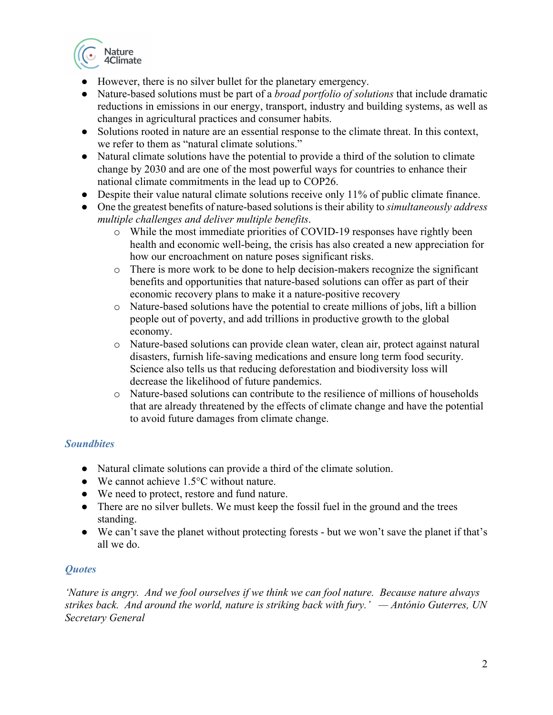

- However, there is no silver bullet for the planetary emergency.
- Nature-based solutions must be part of a *broad portfolio of solutions* that include dramatic reductions in emissions in our energy, transport, industry and building systems, as well as changes in agricultural practices and consumer habits.
- Solutions rooted in nature are an essential response to the climate threat. In this context, we refer to them as "natural climate solutions."
- Natural climate solutions have the potential to provide a third of the solution to climate change by 2030 and are one of the most powerful ways for countries to enhance their national climate commitments in the lead up to COP26.
- Despite their value natural climate solutions receive only 11% of public climate finance.
- One the greatest benefits of nature-based solutions is their ability to *simultaneously address multiple challenges and deliver multiple benefits*.
	- o While the most immediate priorities of COVID-19 responses have rightly been health and economic well-being, the crisis has also created a new appreciation for how our encroachment on nature poses significant risks.
	- o There is more work to be done to help decision-makers recognize the significant benefits and opportunities that nature-based solutions can offer as part of their economic recovery plans to make it a nature-positive recovery
	- o Nature-based solutions have the potential to create millions of jobs, lift a billion people out of poverty, and add trillions in productive growth to the global economy.
	- o Nature-based solutions can provide clean water, clean air, protect against natural disasters, furnish life-saving medications and ensure long term food security. Science also tells us that reducing deforestation and biodiversity loss will decrease the likelihood of future pandemics.
	- o Nature-based solutions can contribute to the resilience of millions of households that are already threatened by the effects of climate change and have the potential to avoid future damages from climate change.

# *Soundbites*

- Natural climate solutions can provide a third of the climate solution.
- We cannot achieve 1.5°C without nature.
- We need to protect, restore and fund nature.
- There are no silver bullets. We must keep the fossil fuel in the ground and the trees standing.
- We can't save the planet without protecting forests but we won't save the planet if that's all we do.

# *Quotes*

*'Nature is angry. And we fool ourselves if we think we can fool nature. Because nature always strikes back. And around the world, nature is striking back with fury.' — António Guterres, UN Secretary General*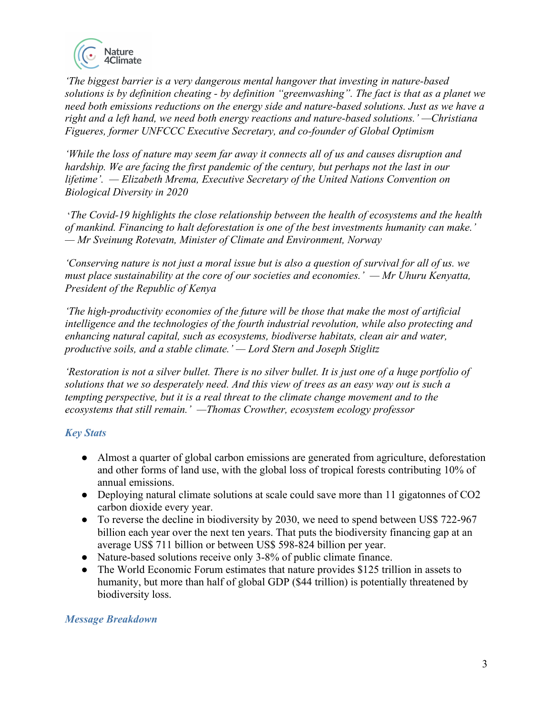

*'The biggest barrier is a very dangerous mental hangover that investing in nature-based solutions is by definition cheating - by definition "greenwashing". The fact is that as a planet we need both emissions reductions on the energy side and nature-based solutions. Just as we have a right and a left hand, we need both energy reactions and nature-based solutions.' —Christiana Figueres, former UNFCCC Executive Secretary, and co-founder of Global Optimism* 

*'While the loss of nature may seem far away it connects all of us and causes disruption and hardship. We are facing the first pandemic of the century, but perhaps not the last in our lifetime'. — Elizabeth Mrema, Executive Secretary of the United Nations Convention on Biological Diversity in 2020*

'*The Covid-19 highlights the close relationship between the health of ecosystems and the health of mankind. Financing to halt deforestation is one of the best investments humanity can make.' — Mr Sveinung Rotevatn, Minister of Climate and Environment, Norway*

*'Conserving nature is not just a moral issue but is also a question of survival for all of us. we must place sustainability at the core of our societies and economies.' — Mr Uhuru Kenyatta, President of the Republic of Kenya*

*'The high-productivity economies of the future will be those that make the most of artificial intelligence and the technologies of the fourth industrial revolution, while also protecting and enhancing natural capital, such as ecosystems, biodiverse habitats, clean air and water, productive soils, and a stable climate.' — Lord Stern and Joseph Stiglitz*

*'Restoration is not a silver bullet. There is no silver bullet. It is just one of a huge portfolio of solutions that we so desperately need. And this view of trees as an easy way out is such a tempting perspective, but it is a real threat to the climate change movement and to the ecosystems that still remain.' —Thomas Crowther, ecosystem ecology professor* 

# *Key Stats*

- Almost a quarter of global carbon emissions are generated from agriculture, deforestation and other forms of land use, with the global loss of tropical forests contributing 10% of annual emissions.
- Deploying natural climate solutions at scale could save more than 11 gigatonnes of CO2 carbon dioxide every year.
- To reverse the decline in biodiversity by 2030, we need to spend between US\$ 722-967 billion each year over the next ten years. That puts the biodiversity financing gap at an average US\$ 711 billion or between US\$ 598-824 billion per year.
- Nature-based solutions receive only 3-8% of public climate finance.
- The World Economic Forum estimates that nature provides \$125 trillion in assets to humanity, but more than half of global GDP (\$44 trillion) is potentially threatened by biodiversity loss.

# *Message Breakdown*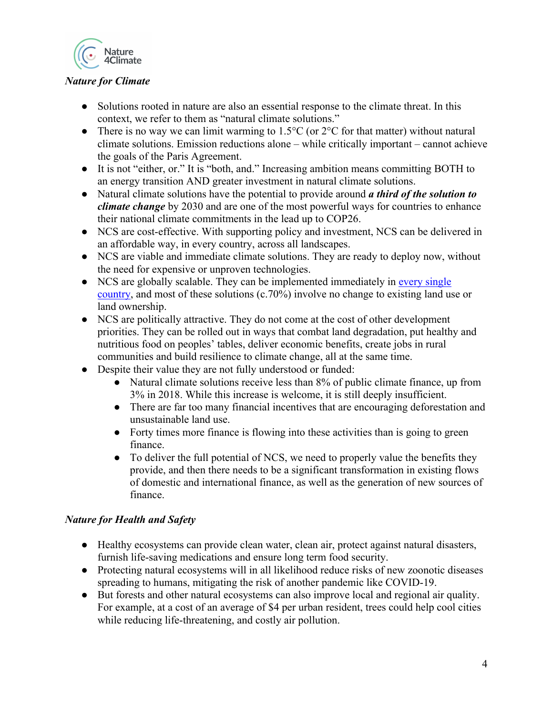

# *Nature for Climate*

- Solutions rooted in nature are also an essential response to the climate threat. In this context, we refer to them as "natural climate solutions."
- There is no way we can limit warming to  $1.5^{\circ}$ C (or  $2^{\circ}$ C for that matter) without natural climate solutions. Emission reductions alone – while critically important – cannot achieve the goals of the Paris Agreement.
- It is not "either, or." It is "both, and." Increasing ambition means committing BOTH to an energy transition AND greater investment in natural climate solutions.
- Natural climate solutions have the potential to provide around *a third of the solution to climate change* by 2030 and are one of the most powerful ways for countries to enhance their national climate commitments in the lead up to COP26.
- NCS are cost-effective. With supporting policy and investment, NCS can be delivered in an affordable way, in every country, across all landscapes.
- NCS are viable and immediate climate solutions. They are ready to deploy now, without the need for expensive or unproven technologies.
- NCS are globally scalable. They can be implemented immediately in every single country, and most of these solutions (c.70%) involve no change to existing land use or land ownership.
- NCS are politically attractive. They do not come at the cost of other development priorities. They can be rolled out in ways that combat land degradation, put healthy and nutritious food on peoples' tables, deliver economic benefits, create jobs in rural communities and build resilience to climate change, all at the same time.
- Despite their value they are not fully understood or funded:
	- Natural climate solutions receive less than 8% of public climate finance, up from 3% in 2018. While this increase is welcome, it is still deeply insufficient.
	- There are far too many financial incentives that are encouraging deforestation and unsustainable land use.
	- Forty times more finance is flowing into these activities than is going to green finance.
	- To deliver the full potential of NCS, we need to properly value the benefits they provide, and then there needs to be a significant transformation in existing flows of domestic and international finance, as well as the generation of new sources of finance.

# *Nature for Health and Safety*

- Healthy ecosystems can provide clean water, clean air, protect against natural disasters, furnish life-saving medications and ensure long term food security.
- Protecting natural ecosystems will in all likelihood reduce risks of new zoonotic diseases spreading to humans, mitigating the risk of another pandemic like COVID-19.
- But forests and other natural ecosystems can also improve local and regional air quality. For example, at a cost of an average of \$4 per urban resident, trees could help cool cities while reducing life-threatening, and costly air pollution.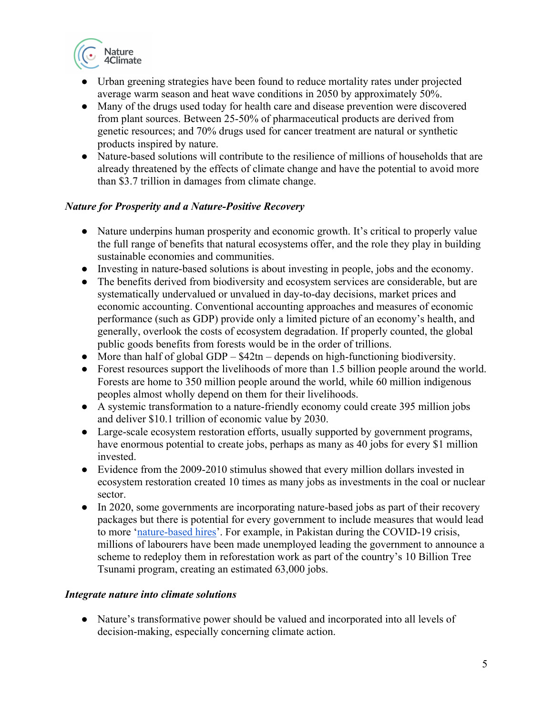

- Urban greening strategies have been found to reduce mortality rates under projected average warm season and heat wave conditions in 2050 by approximately 50%.
- Many of the drugs used today for health care and disease prevention were discovered from plant sources. Between 25-50% of pharmaceutical products are derived from genetic resources; and 70% drugs used for cancer treatment are natural or synthetic products inspired by nature.
- Nature-based solutions will contribute to the resilience of millions of households that are already threatened by the effects of climate change and have the potential to avoid more than \$3.7 trillion in damages from climate change.

# *Nature for Prosperity and a Nature-Positive Recovery*

- Nature underpins human prosperity and economic growth. It's critical to properly value the full range of benefits that natural ecosystems offer, and the role they play in building sustainable economies and communities.
- Investing in nature-based solutions is about investing in people, jobs and the economy.
- The benefits derived from biodiversity and ecosystem services are considerable, but are systematically undervalued or unvalued in day-to-day decisions, market prices and economic accounting. Conventional accounting approaches and measures of economic performance (such as GDP) provide only a limited picture of an economy's health, and generally, overlook the costs of ecosystem degradation. If properly counted, the global public goods benefits from forests would be in the order of trillions.
- More than half of global GDP \$42tn depends on high-functioning biodiversity.
- Forest resources support the livelihoods of more than 1.5 billion people around the world. Forests are home to 350 million people around the world, while 60 million indigenous peoples almost wholly depend on them for their livelihoods.
- A systemic transformation to a nature-friendly economy could create 395 million jobs and deliver \$10.1 trillion of economic value by 2030.
- Large-scale ecosystem restoration efforts, usually supported by government programs, have enormous potential to create jobs, perhaps as many as 40 jobs for every \$1 million invested.
- Evidence from the 2009-2010 stimulus showed that every million dollars invested in ecosystem restoration created 10 times as many jobs as investments in the coal or nuclear sector.
- In 2020, some governments are incorporating nature-based jobs as part of their recovery packages but there is potential for every government to include measures that would lead to more 'nature-based hires'. For example, in Pakistan during the COVID-19 crisis, millions of labourers have been made unemployed leading the government to announce a scheme to redeploy them in reforestation work as part of the country's 10 Billion Tree Tsunami program, creating an estimated 63,000 jobs.

# *Integrate nature into climate solutions*

● Nature's transformative power should be valued and incorporated into all levels of decision-making, especially concerning climate action.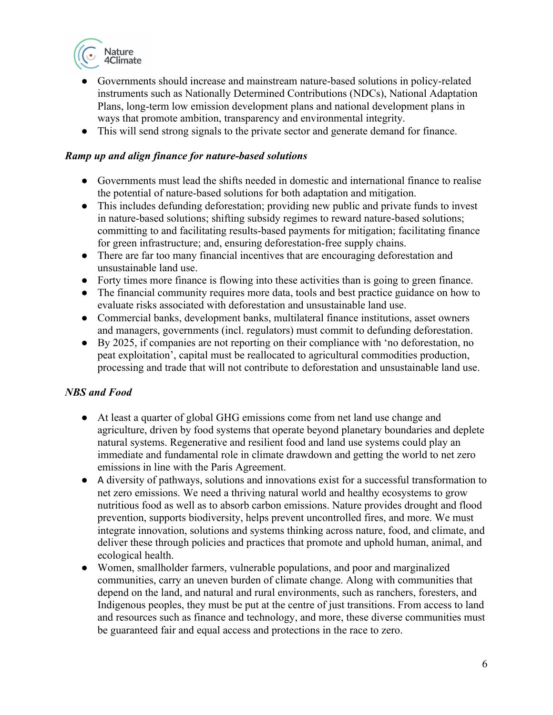

- Governments should increase and mainstream nature-based solutions in policy-related instruments such as Nationally Determined Contributions (NDCs), National Adaptation Plans, long-term low emission development plans and national development plans in ways that promote ambition, transparency and environmental integrity.
- This will send strong signals to the private sector and generate demand for finance.

#### *Ramp up and align finance for nature-based solutions*

- Governments must lead the shifts needed in domestic and international finance to realise the potential of nature-based solutions for both adaptation and mitigation.
- This includes defunding deforestation; providing new public and private funds to invest in nature-based solutions; shifting subsidy regimes to reward nature-based solutions; committing to and facilitating results-based payments for mitigation; facilitating finance for green infrastructure; and, ensuring deforestation-free supply chains.
- There are far too many financial incentives that are encouraging deforestation and unsustainable land use.
- Forty times more finance is flowing into these activities than is going to green finance.
- The financial community requires more data, tools and best practice guidance on how to evaluate risks associated with deforestation and unsustainable land use.
- Commercial banks, development banks, multilateral finance institutions, asset owners and managers, governments (incl. regulators) must commit to defunding deforestation.
- By 2025, if companies are not reporting on their compliance with 'no deforestation, no peat exploitation', capital must be reallocated to agricultural commodities production, processing and trade that will not contribute to deforestation and unsustainable land use.

# *NBS and Food*

- At least a quarter of global GHG emissions come from net land use change and agriculture, driven by food systems that operate beyond planetary boundaries and deplete natural systems. Regenerative and resilient food and land use systems could play an immediate and fundamental role in climate drawdown and getting the world to net zero emissions in line with the Paris Agreement.
- A diversity of pathways, solutions and innovations exist for a successful transformation to net zero emissions. We need a thriving natural world and healthy ecosystems to grow nutritious food as well as to absorb carbon emissions. Nature provides drought and flood prevention, supports biodiversity, helps prevent uncontrolled fires, and more. We must integrate innovation, solutions and systems thinking across nature, food, and climate, and deliver these through policies and practices that promote and uphold human, animal, and ecological health.
- Women, smallholder farmers, vulnerable populations, and poor and marginalized communities, carry an uneven burden of climate change. Along with communities that depend on the land, and natural and rural environments, such as ranchers, foresters, and Indigenous peoples, they must be put at the centre of just transitions. From access to land and resources such as finance and technology, and more, these diverse communities must be guaranteed fair and equal access and protections in the race to zero.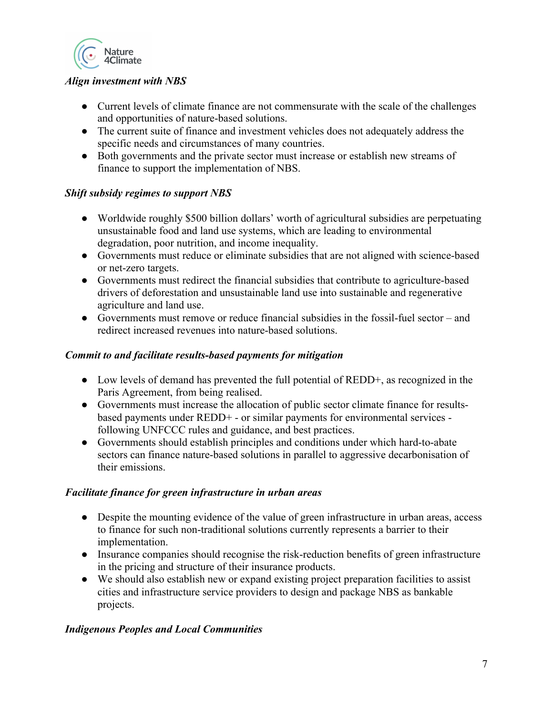

# *Align investment with NBS*

- Current levels of climate finance are not commensurate with the scale of the challenges and opportunities of nature-based solutions.
- The current suite of finance and investment vehicles does not adequately address the specific needs and circumstances of many countries.
- Both governments and the private sector must increase or establish new streams of finance to support the implementation of NBS.

# *Shift subsidy regimes to support NBS*

- Worldwide roughly \$500 billion dollars' worth of agricultural subsidies are perpetuating unsustainable food and land use systems, which are leading to environmental degradation, poor nutrition, and income inequality.
- Governments must reduce or eliminate subsidies that are not aligned with science-based or net-zero targets.
- Governments must redirect the financial subsidies that contribute to agriculture-based drivers of deforestation and unsustainable land use into sustainable and regenerative agriculture and land use.
- Governments must remove or reduce financial subsidies in the fossil-fuel sector and redirect increased revenues into nature-based solutions.

#### *Commit to and facilitate results-based payments for mitigation*

- Low levels of demand has prevented the full potential of REDD+, as recognized in the Paris Agreement, from being realised.
- Governments must increase the allocation of public sector climate finance for resultsbased payments under REDD+ - or similar payments for environmental services following UNFCCC rules and guidance, and best practices.
- Governments should establish principles and conditions under which hard-to-abate sectors can finance nature-based solutions in parallel to aggressive decarbonisation of their emissions.

#### *Facilitate finance for green infrastructure in urban areas*

- Despite the mounting evidence of the value of green infrastructure in urban areas, access to finance for such non-traditional solutions currently represents a barrier to their implementation.
- Insurance companies should recognise the risk-reduction benefits of green infrastructure in the pricing and structure of their insurance products.
- We should also establish new or expand existing project preparation facilities to assist cities and infrastructure service providers to design and package NBS as bankable projects.

# *Indigenous Peoples and Local Communities*